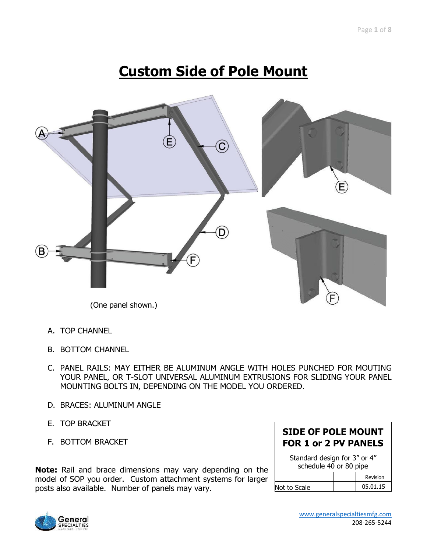# **Custom Side of Pole Mount**



- A. TOP CHANNEL
- B. BOTTOM CHANNEL
- C. PANEL RAILS: MAY EITHER BE ALUMINUM ANGLE WITH HOLES PUNCHED FOR MOUTING YOUR PANEL, OR T-SLOT UNIVERSAL ALUMINUM EXTRUSIONS FOR SLIDING YOUR PANEL MOUNTING BOLTS IN, DEPENDING ON THE MODEL YOU ORDERED.
- D. BRACES: ALUMINUM ANGLE
- E. TOP BRACKET
- F. BOTTOM BRACKET

**Note:** Rail and brace dimensions may vary depending on the model of SOP you order. Custom attachment systems for larger posts also available. Number of panels may vary.

#### **SIDE OF POLE MOUNT FOR 1 or 2 PV PANELS**

| Standard design for 3" or 4"<br>schedule 40 or 80 pipe |  |          |  |  |
|--------------------------------------------------------|--|----------|--|--|
|                                                        |  | Revision |  |  |
| Not to Scale                                           |  | 05.01.15 |  |  |

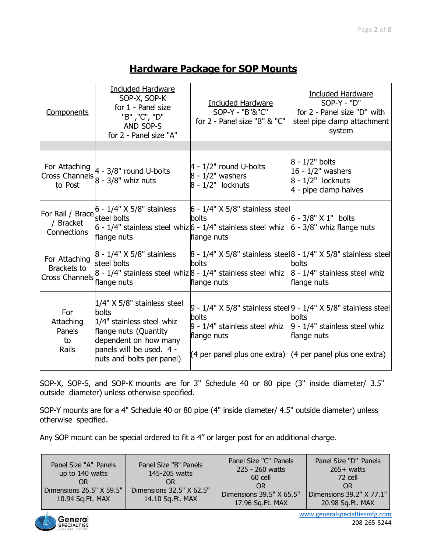#### Page **2** of **8**

#### **Hardware Package for SOP Mounts**

| Components                                                 | <b>Included Hardware</b><br>SOP-X, SOP-K<br>for 1 - Panel size<br>"B", "C", "D"<br>AND SOP-S<br>for 2 - Panel size "A"                                                         | <b>Included Hardware</b><br>SOP-Y - "B"&"C"<br>for 2 - Panel size "B" & "C"                                                                                                       | Included Hardware<br>$SOP-Y - "D"$<br>for 2 - Panel size "D" with<br>steel pipe clamp attachment<br>system |
|------------------------------------------------------------|--------------------------------------------------------------------------------------------------------------------------------------------------------------------------------|-----------------------------------------------------------------------------------------------------------------------------------------------------------------------------------|------------------------------------------------------------------------------------------------------------|
|                                                            |                                                                                                                                                                                |                                                                                                                                                                                   |                                                                                                            |
| For Attaching<br>to Post                                   | For Attaching $\begin{bmatrix} 4 & -3/8 \\ 8 & -3/8 \end{bmatrix}$ round U-bolts<br>Cross Channels $\begin{bmatrix} 8 & -3/8 \\ 8 & -3/8 \end{bmatrix}$ whiz nuts              | $4 - 1/2$ " round U-bolts<br>$8 - 1/2"$ washers<br>$8 - 1/2"$ locknuts                                                                                                            | $8 - 1/2"$ bolts<br>$16 - 1/2"$ washers<br>$8 - 1/2"$ locknuts<br>4 - pipe clamp halves                    |
| / Bracket<br>Connections                                   | For Rail / Brace $6 - 1/4$ " X 5/8" stainless<br>steel bolts<br>flange nuts                                                                                                    | $6 - 1/4"$ X 5/8" stainless steel<br><b>bolts</b><br>$6 - 1/4"$ stainless steel whiz $6 - 1/4"$ stainless steel whiz<br>flange nuts                                               | 6 - 3/8" X 1" bolts<br>$6 - 3/8"$ whiz flange nuts                                                         |
| For Attaching<br>Brackets to<br>Cross Channels Flange nuts | 8 - 1/4" X 5/8" stainless<br>steel bolts                                                                                                                                       | <b>bolts</b><br>$8 - 1/4$ " stainless steel whiz $8 - 1/4$ " stainless steel whiz $8 - 1/4$ " stainless steel whiz<br>flange nuts                                                 | 8 - 1/4" X 5/8" stainless steel 8 - 1/4" X 5/8" stainless steel<br>bolts<br>flange nuts                    |
| For<br>Attaching<br>Panels<br>to<br>Rails                  | $1/4"$ X 5/8" stainless steel<br>bolts<br>1/4" stainless steel whiz<br>flange nuts (Quantity<br>dependent on how many<br>panels will be used. 4 -<br>nuts and bolts per panel) | <b>bolts</b><br>$9 - 1/4$ " stainless steel whiz $9 - 1/4$ " stainless steel whiz<br>flange nuts<br>$(4 \text{ per panel plus one extra})$ $(4 \text{ per panel plus one extra})$ | $9 - 1/4"$ X 5/8" stainless steel $9 - 1/4"$ X 5/8" stainless steel<br>bolts<br>flange nuts                |

 SOP-X, SOP-S, and SOP-K mounts are for 3" Schedule 40 or 80 pipe (3" inside diameter/ 3.5" outside diameter) unless otherwise specified.

 SOP-Y mounts are for a 4" Schedule 40 or 80 pipe (4" inside diameter/ 4.5" outside diameter) unless otherwise specified.

Any SOP mount can be special ordered to fit a 4" or larger post for an additional charge.

| Panel Size "A" Panels<br>up to 140 watts<br>Dimensions $26.5"$ X 59.5"<br>10.94 Sq.Ft. MAX | Panel Size "B" Panels<br>145-205 watts<br>OR<br>Dimensions 32.5" X 62.5"<br>14.10 Sq.Ft. MAX | Panel Size "C" Panels<br>225 - 260 watts<br>60 cell<br>0 <sub>R</sub><br>Dimensions $39.5"$ X $65.5"$<br>17.96 Sq.Ft. MAX | Panel Size "D" Panels<br>$265+$ watts<br>-72 cell<br><b>OR</b><br>Dimensions 39.2" X 77.1"<br>20.98 Sq.Ft. MAX |
|--------------------------------------------------------------------------------------------|----------------------------------------------------------------------------------------------|---------------------------------------------------------------------------------------------------------------------------|----------------------------------------------------------------------------------------------------------------|
|--------------------------------------------------------------------------------------------|----------------------------------------------------------------------------------------------|---------------------------------------------------------------------------------------------------------------------------|----------------------------------------------------------------------------------------------------------------|



[www.generalspecialtiesmfg.com](http://www.generalspecialtiesmfg.com/)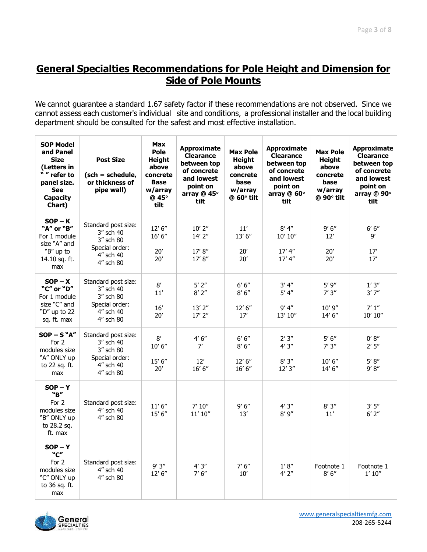### **General Specialties Recommendations for Pole Height and Dimension for Side of Pole Mounts**

We cannot guarantee a standard 1.67 safety factor if these recommendations are not observed. Since we cannot assess each customer's individual site and conditions, a professional installer and the local building department should be consulted for the safest and most effective installation.

| <b>SOP Model</b><br>and Panel<br><b>Size</b><br>(Letters in<br>" " refer to<br>panel size.<br><b>See</b><br><b>Capacity</b><br>Chart) | <b>Post Size</b><br>$(sch = schedule,$<br>or thickness of<br>pipe wall)                   | <b>Max</b><br>Pole<br><b>Height</b><br>above<br>concrete<br><b>Base</b><br>w/array<br>@ 45°<br>tilt | <b>Approximate</b><br><b>Clearance</b><br>between top<br>of concrete<br>and lowest<br>point on<br>array @ 45°<br>tilt | <b>Max Pole</b><br>Height<br>above<br>concrete<br>base<br>w/array<br>@ 60° tilt | <b>Approximate</b><br><b>Clearance</b><br>between top<br>of concrete<br>and lowest<br>point on<br>array @ 60°<br>tilt | Max Pole<br><b>Height</b><br>above<br>concrete<br>base<br>w/array<br>$@$ 90 $°$ tilt | <b>Approximate</b><br><b>Clearance</b><br>between top<br>of concrete<br>and lowest<br>point on<br>array @ 90°<br>tilt |
|---------------------------------------------------------------------------------------------------------------------------------------|-------------------------------------------------------------------------------------------|-----------------------------------------------------------------------------------------------------|-----------------------------------------------------------------------------------------------------------------------|---------------------------------------------------------------------------------|-----------------------------------------------------------------------------------------------------------------------|--------------------------------------------------------------------------------------|-----------------------------------------------------------------------------------------------------------------------|
| $SOP - K$<br>"A" or "B"<br>For 1 module<br>size "A" and<br>"B" up to<br>14.10 sq. ft.<br>max                                          | Standard post size:<br>3" sch 40<br>3" sch 80<br>Special order:<br>4" sch 40<br>4" sch 80 | 12' 6''<br>16' 6''<br>20'<br>20'                                                                    | $10'$ 2"<br>$14'$ $2''$<br>17' 8''<br>17'8''                                                                          | 11'<br>13' 6''<br>20'<br>20'                                                    | 8' 4''<br>10' 10''<br>17' 4''<br>17' 4''                                                                              | 9'6''<br>12'<br>20'<br>20'                                                           | $6' 6''$<br>9′<br>17'<br>17'                                                                                          |
| $SOP - X$<br>"C" or "D"<br>For 1 module<br>size "C" and<br>"D" up to 22<br>sq. ft. max                                                | Standard post size:<br>3" sch 40<br>3" sch 80<br>Special order:<br>4" sch 40<br>4" sch 80 | $8^\prime$<br>11'<br>16'<br>20'                                                                     | $5'$ $2''$<br>$8'$ 2"<br>$13'$ $2''$<br>$17'$ $2''$                                                                   | 6' 6''<br>8'6''<br>12' 6''<br>17'                                               | 3' 4''<br>5' 4''<br>9' 4''<br>13' 10"                                                                                 | 5'9''<br>7'3''<br>10'9''<br>14' 6''                                                  | 1'3''<br>3'7''<br>7'1''<br>10' 10''                                                                                   |
| $SOP - S "A"$<br>For 2<br>modules size<br>"A" ONLY up<br>to 22 sq. ft.<br>max                                                         | Standard post size:<br>3" sch 40<br>3" sch 80<br>Special order:<br>4" sch 40<br>4" sch 80 | 8'<br>10' 6''<br>15' 6''<br>20'                                                                     | $4' 6''$<br>7'<br>12'<br>16' 6''                                                                                      | 6' 6''<br>8'6''<br>12' 6''<br>16' 6''                                           | 2'3''<br>4'3''<br>8'3''<br>12'3''                                                                                     | 5' 6''<br>7'3''<br>10' 6''<br>14' 6''                                                | 0' 8''<br>2'5''<br>5' 8''<br>9' 8''                                                                                   |
| $SOP - Y$<br>"B"<br>For 2<br>modules size<br>"B" ONLY up<br>to 28.2 sq.<br>ft. max                                                    | Standard post size:<br>4" sch 40<br>4" sch 80                                             | 11'6''<br>15' 6''                                                                                   | $7'$ $10''$<br>11' 10''                                                                                               | 9'6''<br>13'                                                                    | 4'3''<br>8'9''                                                                                                        | 8'3''<br>11'                                                                         | 3'5''<br>$6'$ $2''$                                                                                                   |
| $SOP - Y$<br>"C"<br>For 2<br>modules size<br>"C" ONLY up<br>to 36 sq. ft.<br>max                                                      | Standard post size:<br>4" sch 40<br>4" sch 80                                             | 9'3''<br>12' 6''                                                                                    | 4'3''<br>7'6''                                                                                                        | 7'6''<br>10'                                                                    | $1^\prime\,8^{\prime\prime}$<br>4'2''                                                                                 | Footnote 1<br>8'6''                                                                  | Footnote 1<br>1' 10''                                                                                                 |

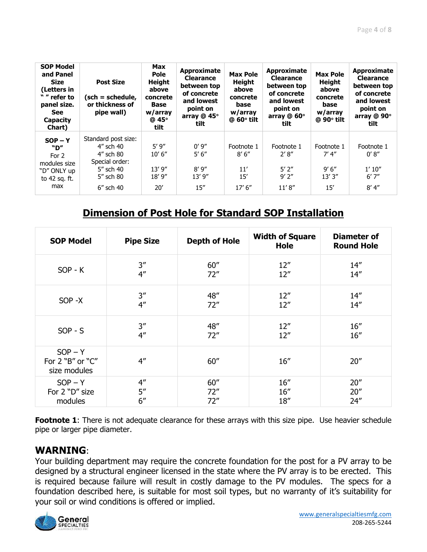| <b>SOP Model</b><br>and Panel<br><b>Size</b><br>(Letters in<br>" " refer to<br>panel size.<br>See<br><b>Capacity</b><br>Chart) | <b>Post Size</b><br>(sch = schedule,<br>or thickness of<br>pipe wall)                                     | <b>Max</b><br><b>Pole</b><br><b>Height</b><br>above<br>concrete<br>Base<br>w/array<br>@ 45°<br>tilt | Approximate<br><b>Clearance</b><br>between top<br>of concrete<br>and lowest<br>point on<br>array @ 45°<br>tilt | <b>Max Pole</b><br><b>Height</b><br>above<br>concrete<br>base<br>w/array<br>$@$ 60 $°$ tilt | Approximate<br><b>Clearance</b><br>between top<br>of concrete<br>and lowest<br>point on<br>array @ 60°<br>tilt | <b>Max Pole</b><br><b>Height</b><br>above<br>concrete<br>base<br>w/array<br>$@90°$ tilt | Approximate<br><b>Clearance</b><br>between top<br>of concrete<br>and lowest<br>point on<br>array @ 90°<br>tilt |
|--------------------------------------------------------------------------------------------------------------------------------|-----------------------------------------------------------------------------------------------------------|-----------------------------------------------------------------------------------------------------|----------------------------------------------------------------------------------------------------------------|---------------------------------------------------------------------------------------------|----------------------------------------------------------------------------------------------------------------|-----------------------------------------------------------------------------------------|----------------------------------------------------------------------------------------------------------------|
| $SOP - Y$<br>"D"<br>For 2<br>modules size<br>"D" ONLY up<br>to 42 sq. ft.<br>max                                               | Standard post size:<br>4" sch 40<br>4" sch 80<br>Special order:<br>5" sch 40<br>5" sch 80<br>$6''$ sch 40 | 5'9''<br>10' 6''<br>13'9''<br>18'9''<br>20'                                                         | 0'9''<br>5' 6''<br>8'9''<br>13'9''<br>15''                                                                     | Footnote 1<br>8'6''<br>11'<br>15'<br>17' 6''                                                | Footnote 1<br>2' 8''<br>$5'$ 2"<br>$9'$ $2''$<br>11'8''                                                        | Footnote 1<br>7' 4''<br>9'6''<br>13'3''<br>15'                                          | Footnote 1<br>0' 8''<br>1'10''<br>6'7''<br>8' 4''                                                              |

#### **Dimension of Post Hole for Standard SOP Installation**

| <b>SOP Model</b>                              | <b>Pipe Size</b>   | <b>Depth of Hole</b> | <b>Width of Square</b><br>Hole | <b>Diameter of</b><br><b>Round Hole</b> |
|-----------------------------------------------|--------------------|----------------------|--------------------------------|-----------------------------------------|
| $SOP - K$                                     | 3''                | 60''                 | 12''                           | 14''                                    |
|                                               | 4 <sup>''</sup>    | 72"                  | 12''                           | 14''                                    |
| SOP -X                                        | 3''                | 48"                  | 12''                           | 14''                                    |
|                                               | $4^{\prime\prime}$ | 72"                  | 12''                           | 14''                                    |
| $SOP - S$                                     | 3''                | 48"                  | 12''                           | 16''                                    |
|                                               | 4 <sup>''</sup>    | 72"                  | 12''                           | 16''                                    |
| $SOP - Y$<br>For 2 "B" or "C"<br>size modules | 4 <sup>''</sup>    | 60''                 | 16''                           | 20''                                    |
| $SOP - Y$                                     | 4 <sup>''</sup>    | 60''                 | 16''                           | 20''                                    |
| For 2 "D" size                                | 5''                | 72"                  | 16''                           | 20''                                    |
| modules                                       | 6''                | 72"                  | 18''                           | 24''                                    |

**Footnote 1**: There is not adequate clearance for these arrays with this size pipe. Use heavier schedule pipe or larger pipe diameter.

#### **WARNING**:

Your building department may require the concrete foundation for the post for a PV array to be designed by a structural engineer licensed in the state where the PV array is to be erected. This is required because failure will result in costly damage to the PV modules. The specs for a foundation described here, is suitable for most soil types, but no warranty of it's suitability for your soil or wind conditions is offered or implied.

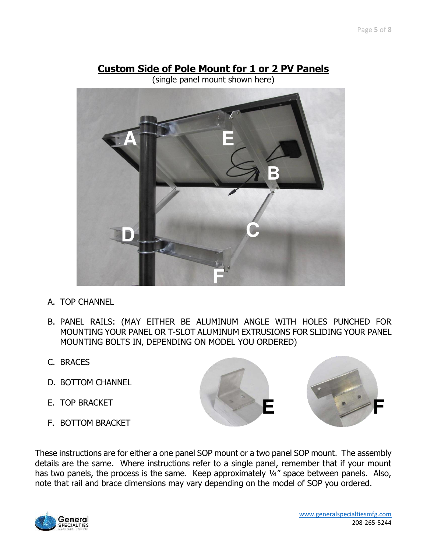### **Custom Side of Pole Mount for 1 or 2 PV Panels**

(single panel mount shown here)



- A. TOP CHANNEL
- B. PANEL RAILS: (MAY EITHER BE ALUMINUM ANGLE WITH HOLES PUNCHED FOR MOUNTING YOUR PANEL OR T-SLOT ALUMINUM EXTRUSIONS FOR SLIDING YOUR PANEL MOUNTING BOLTS IN, DEPENDING ON MODEL YOU ORDERED)
- C. BRACES
- D. BOTTOM CHANNEL
- E. TOP BRACKET
- F. BOTTOM BRACKET



These instructions are for either a one panel SOP mount or a two panel SOP mount. The assembly details are the same. Where instructions refer to a single panel, remember that if your mount has two panels, the process is the same. Keep approximately 1/4" space between panels. Also, note that rail and brace dimensions may vary depending on the model of SOP you ordered.

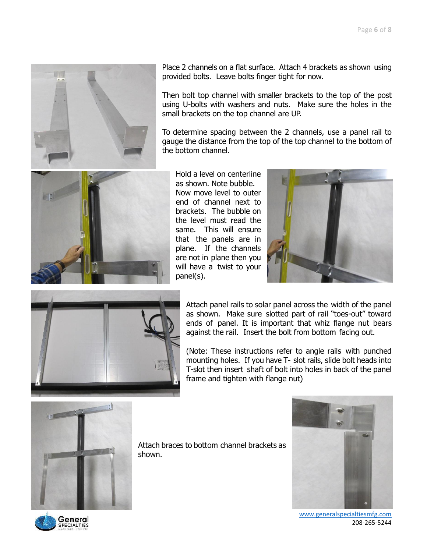

Place 2 channels on a flat surface. Attach 4 brackets as shown using provided bolts. Leave bolts finger tight for now.

Then bolt top channel with smaller brackets to the top of the post using U-bolts with washers and nuts. Make sure the holes in the small brackets on the top channel are UP.

To determine spacing between the 2 channels, use a panel rail to gauge the distance from the top of the top channel to the bottom of the bottom channel.



Hold a level on centerline as shown. Note bubble. Now move level to outer end of channel next to brackets. The bubble on the level must read the same. This will ensure that the panels are in plane. If the channels are not in plane then you will have a twist to your panel(s).





Attach panel rails to solar panel across the width of the panel as shown. Make sure slotted part of rail "toes-out" toward ends of panel. It is important that whiz flange nut bears against the rail. Insert the bolt from bottom facing out.

(Note: These instructions refer to angle rails with punched mounting holes. If you have T- slot rails, slide bolt heads into T-slot then insert shaft of bolt into holes in back of the panel frame and tighten with flange nut)



Attach braces to bottom channel brackets as shown.



 [www.generalspecialtiesmfg.com](http://www.generalspecialtiesmfg.com/) 208-265-5244

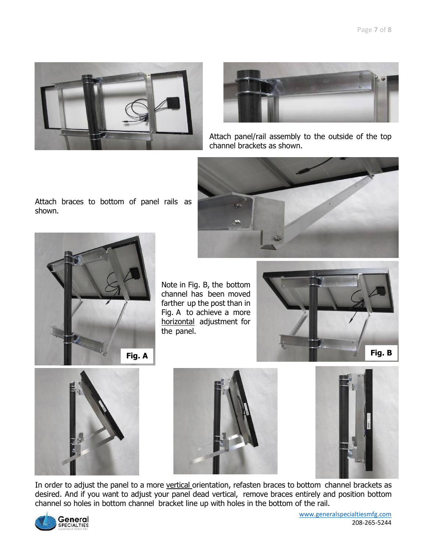



Attach panel/rail assembly to the outside of the top channel brackets as shown.







Note in Fig. B, the bottom channel has been moved farther up the post than in Fig. A to achieve a more horizontal adjustment for the panel.









In order to adjust the panel to a more vertical orientation, refasten braces to bottom channel brackets as desired. And if you want to adjust your panel dead vertical, remove braces entirely and position bottom channel so holes in bottom channel bracket line up with holes in the bottom of the rail.